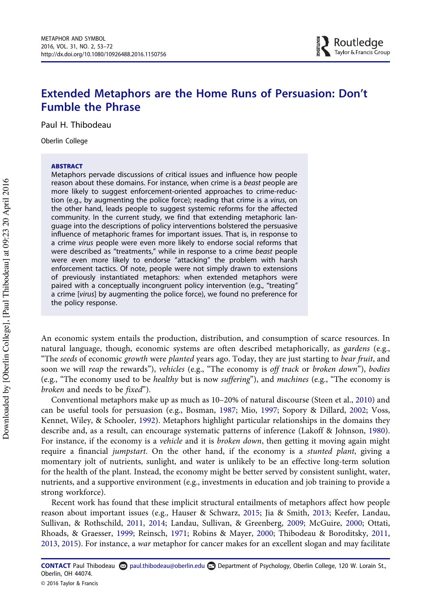# Extended Metaphors are the Home Runs of Persuasion: Don't Fumble the Phrase

Paul H. Thibodeau

Oberlin College

#### ABSTRACT

Metaphors pervade discussions of critical issues and influence how people reason about these domains. For instance, when crime is a beast people are more likely to suggest enforcement-oriented approaches to crime-reduction (e.g., by augmenting the police force); reading that crime is a virus, on the other hand, leads people to suggest systemic reforms for the affected community. In the current study, we find that extending metaphoric language into the descriptions of policy interventions bolstered the persuasive influence of metaphoric frames for important issues. That is, in response to a crime virus people were even more likely to endorse social reforms that were described as "treatments," while in response to a crime beast people were even more likely to endorse "attacking" the problem with harsh enforcement tactics. Of note, people were not simply drawn to extensions of previously instantiated metaphors: when extended metaphors were paired with a conceptually incongruent policy intervention (e.g., "treating" a crime [virus] by augmenting the police force), we found no preference for the policy response.

An economic system entails the production, distribution, and consumption of scarce resources. In natural language, though, economic systems are often described metaphorically, as gardens (e.g., "The seeds of economic growth were planted years ago. Today, they are just starting to bear fruit, and soon we will reap the rewards"), vehicles (e.g., "The economy is off track or broken down"), bodies (e.g., "The economy used to be healthy but is now suffering"), and machines (e.g., "The economy is broken and needs to be fixed").

Conventional metaphors make up as much as 10–20% of natural discourse (Steen et al., [2010\)](#page-15-0) and can be useful tools for persuasion (e.g., Bosman, [1987;](#page-13-0) Mio, [1997](#page-14-0); Sopory & Dillard, [2002](#page-15-1); Voss, Kennet, Wiley, & Schooler, [1992\)](#page-15-2). Metaphors highlight particular relationships in the domains they describe and, as a result, can encourage systematic patterns of inference (Lakoff & Johnson, [1980](#page-14-1)). For instance, if the economy is a *vehicle* and it is *broken down*, then getting it moving again might require a financial *jumpstart*. On the other hand, if the economy is a *stunted plant*, giving a momentary jolt of nutrients, sunlight, and water is unlikely to be an effective long-term solution for the health of the plant. Instead, the economy might be better served by consistent sunlight, water, nutrients, and a supportive environment (e.g., investments in education and job training to provide a strong workforce).

Recent work has found that these implicit structural entailments of metaphors affect how people reason about important issues (e.g., Hauser & Schwarz, [2015;](#page-14-2) Jia & Smith, [2013;](#page-14-3) Keefer, Landau, Sullivan, & Rothschild, [2011](#page-14-4), [2014](#page-14-5); Landau, Sullivan, & Greenberg, [2009;](#page-14-6) McGuire, [2000](#page-14-7); Ottati, Rhoads, & Graesser, [1999](#page-14-8); Reinsch, [1971;](#page-15-3) Robins & Mayer, [2000;](#page-15-4) Thibodeau & Boroditsky, [2011,](#page-15-5) [2013](#page-15-6), [2015](#page-15-7)). For instance, a *war* metaphor for cancer makes for an excellent slogan and may facilitate

CONTACT Paul Thibodeau paul.thibodeau@oberlin.edu Department of Psychology, Oberlin College, 120 W. Lorain St., Oberlin, OH 44074. © 2016 Taylor & Francis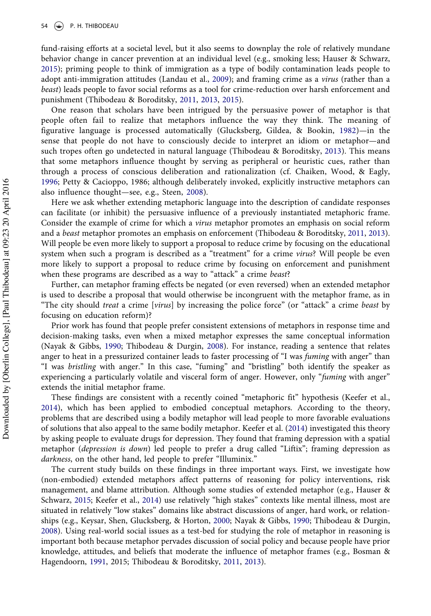fund-raising efforts at a societal level, but it also seems to downplay the role of relatively mundane behavior change in cancer prevention at an individual level (e.g., smoking less; Hauser & Schwarz, [2015](#page-14-2)); priming people to think of immigration as a type of bodily contamination leads people to adopt anti-immigration attitudes (Landau et al., [2009](#page-14-6)); and framing crime as a *virus* (rather than a beast) leads people to favor social reforms as a tool for crime-reduction over harsh enforcement and punishment (Thibodeau & Boroditsky, [2011,](#page-15-5) [2013](#page-15-6), [2015](#page-15-7)).

One reason that scholars have been intrigued by the persuasive power of metaphor is that people often fail to realize that metaphors influence the way they think. The meaning of figurative language is processed automatically (Glucksberg, Gildea, & Bookin, [1982](#page-14-9))—in the sense that people do not have to consciously decide to interpret an idiom or metaphor—and such tropes often go undetected in natural language (Thibodeau & Boroditsky, [2013](#page-15-6)). This means that some metaphors influence thought by serving as peripheral or heuristic cues, rather than through a process of conscious deliberation and rationalization (cf. Chaiken, Wood, & Eagly, [1996;](#page-14-10) Petty & Cacioppo, 1986; although deliberately invoked, explicitly instructive metaphors can also influence thought—see, e.g., Steen, [2008\)](#page-15-8).

Here we ask whether extending metaphoric language into the description of candidate responses can facilitate (or inhibit) the persuasive influence of a previously instantiated metaphoric frame. Consider the example of crime for which a virus metaphor promotes an emphasis on social reform and a beast metaphor promotes an emphasis on enforcement (Thibodeau & Boroditsky, [2011](#page-15-5), [2013](#page-15-6)). Will people be even more likely to support a proposal to reduce crime by focusing on the educational system when such a program is described as a "treatment" for a crime virus? Will people be even more likely to support a proposal to reduce crime by focusing on enforcement and punishment when these programs are described as a way to "attack" a crime beast?

Further, can metaphor framing effects be negated (or even reversed) when an extended metaphor is used to describe a proposal that would otherwise be incongruent with the metaphor frame, as in "The city should *treat* a crime [virus] by increasing the police force" (or "attack" a crime beast by focusing on education reform)?

Prior work has found that people prefer consistent extensions of metaphors in response time and decision-making tasks, even when a mixed metaphor expresses the same conceptual information (Nayak & Gibbs, [1990;](#page-14-11) Thibodeau & Durgin, [2008](#page-15-9)). For instance, reading a sentence that relates anger to heat in a pressurized container leads to faster processing of "I was *fuming* with anger" than "I was bristling with anger." In this case, "fuming" and "bristling" both identify the speaker as experiencing a particularly volatile and visceral form of anger. However, only "fuming with anger" extends the initial metaphor frame.

These findings are consistent with a recently coined "metaphoric fit" hypothesis (Keefer et al., [2014](#page-14-5)), which has been applied to embodied conceptual metaphors. According to the theory, problems that are described using a bodily metaphor will lead people to more favorable evaluations of solutions that also appeal to the same bodily metaphor. Keefer et al. [\(2014](#page-14-5)) investigated this theory by asking people to evaluate drugs for depression. They found that framing depression with a spatial metaphor (depression is down) led people to prefer a drug called "Liftix"; framing depression as darkness, on the other hand, led people to prefer "Illuminix."

The current study builds on these findings in three important ways. First, we investigate how (non-embodied) extended metaphors affect patterns of reasoning for policy interventions, risk management, and blame attribution. Although some studies of extended metaphor (e.g., Hauser & Schwarz, [2015](#page-14-2); Keefer et al., [2014](#page-14-5)) use relatively "high stakes" contexts like mental illness, most are situated in relatively "low stakes" domains like abstract discussions of anger, hard work, or relationships (e.g., Keysar, Shen, Glucksberg, & Horton, [2000;](#page-14-12) Nayak & Gibbs, [1990;](#page-14-11) Thibodeau & Durgin, [2008](#page-15-9)). Using real-world social issues as a test-bed for studying the role of metaphor in reasoning is important both because metaphor pervades discussion of social policy and because people have prior knowledge, attitudes, and beliefs that moderate the influence of metaphor frames (e.g., Bosman & Hagendoorn, [1991,](#page-13-1) 2015; Thibodeau & Boroditsky, [2011](#page-15-5), [2013](#page-15-6)).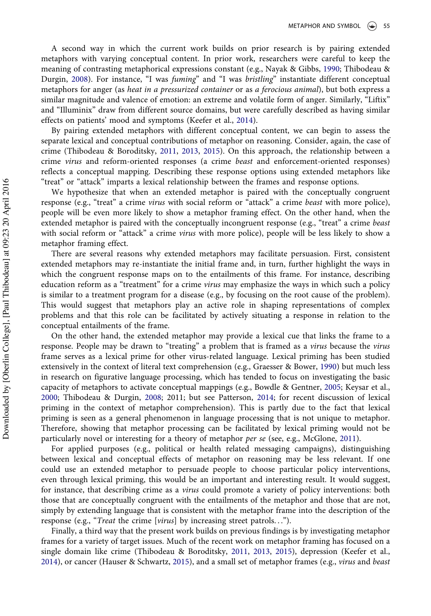A second way in which the current work builds on prior research is by pairing extended metaphors with varying conceptual content. In prior work, researchers were careful to keep the meaning of contrasting metaphorical expressions constant (e.g., Nayak & Gibbs, [1990](#page-14-11); Thibodeau & Durgin, [2008\)](#page-15-9). For instance, "I was fuming" and "I was bristling" instantiate different conceptual metaphors for anger (as heat in a pressurized container or as a ferocious animal), but both express a similar magnitude and valence of emotion: an extreme and volatile form of anger. Similarly, "Liftix" and "Illuminix" draw from different source domains, but were carefully described as having similar effects on patients' mood and symptoms (Keefer et al., [2014\)](#page-14-5).

By pairing extended metaphors with different conceptual content, we can begin to assess the separate lexical and conceptual contributions of metaphor on reasoning. Consider, again, the case of crime (Thibodeau & Boroditsky, [2011](#page-15-5), [2013,](#page-15-6) [2015](#page-15-7)). On this approach, the relationship between a crime virus and reform-oriented responses (a crime beast and enforcement-oriented responses) reflects a conceptual mapping. Describing these response options using extended metaphors like "treat" or "attack" imparts a lexical relationship between the frames and response options.

We hypothesize that when an extended metaphor is paired with the conceptually congruent response (e.g., "treat" a crime virus with social reform or "attack" a crime beast with more police), people will be even more likely to show a metaphor framing effect. On the other hand, when the extended metaphor is paired with the conceptually incongruent response (e.g., "treat" a crime beast with social reform or "attack" a crime virus with more police), people will be less likely to show a metaphor framing effect.

There are several reasons why extended metaphors may facilitate persuasion. First, consistent extended metaphors may re-instantiate the initial frame and, in turn, further highlight the ways in which the congruent response maps on to the entailments of this frame. For instance, describing education reform as a "treatment" for a crime virus may emphasize the ways in which such a policy is similar to a treatment program for a disease (e.g., by focusing on the root cause of the problem). This would suggest that metaphors play an active role in shaping representations of complex problems and that this role can be facilitated by actively situating a response in relation to the conceptual entailments of the frame.

On the other hand, the extended metaphor may provide a lexical cue that links the frame to a response. People may be drawn to "treating" a problem that is framed as a virus because the virus frame serves as a lexical prime for other virus-related language. Lexical priming has been studied extensively in the context of literal text comprehension (e.g., Graesser & Bower, [1990\)](#page-14-13) but much less in research on figurative language processing, which has tended to focus on investigating the basic capacity of metaphors to activate conceptual mappings (e.g., Bowdle & Gentner, [2005](#page-14-14); Keysar et al., [2000](#page-14-12); Thibodeau & Durgin, [2008;](#page-15-9) 2011; but see Patterson, [2014;](#page-15-10) for recent discussion of lexical priming in the context of metaphor comprehension). This is partly due to the fact that lexical priming is seen as a general phenomenon in language processing that is not unique to metaphor. Therefore, showing that metaphor processing can be facilitated by lexical priming would not be particularly novel or interesting for a theory of metaphor per se (see, e.g., McGlone, [2011\)](#page-14-15).

For applied purposes (e.g., political or health related messaging campaigns), distinguishing between lexical and conceptual effects of metaphor on reasoning may be less relevant. If one could use an extended metaphor to persuade people to choose particular policy interventions, even through lexical priming, this would be an important and interesting result. It would suggest, for instance, that describing crime as a virus could promote a variety of policy interventions: both those that are conceptually congruent with the entailments of the metaphor and those that are not, simply by extending language that is consistent with the metaphor frame into the description of the response (e.g., "Treat the crime [virus] by increasing street patrols...").

Finally, a third way that the present work builds on previous findings is by investigating metaphor frames for a variety of target issues. Much of the recent work on metaphor framing has focused on a single domain like crime (Thibodeau & Boroditsky, [2011,](#page-15-5) [2013](#page-15-6), [2015](#page-15-7)), depression (Keefer et al., [2014](#page-14-5)), or cancer (Hauser & Schwartz, [2015](#page-14-2)), and a small set of metaphor frames (e.g., virus and beast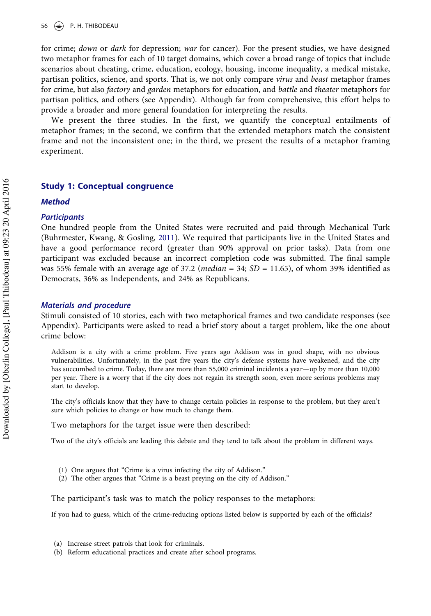for crime; down or dark for depression; war for cancer). For the present studies, we have designed two metaphor frames for each of 10 target domains, which cover a broad range of topics that include scenarios about cheating, crime, education, ecology, housing, income inequality, a medical mistake, partisan politics, science, and sports. That is, we not only compare virus and beast metaphor frames for crime, but also *factory* and *garden* metaphors for education, and *battle* and *theater* metaphors for partisan politics, and others (see Appendix). Although far from comprehensive, this effort helps to provide a broader and more general foundation for interpreting the results.

We present the three studies. In the first, we quantify the conceptual entailments of metaphor frames; in the second, we confirm that the extended metaphors match the consistent frame and not the inconsistent one; in the third, we present the results of a metaphor framing experiment.

# Study 1: Conceptual congruence

# Method

# **Participants**

One hundred people from the United States were recruited and paid through Mechanical Turk (Buhrmester, Kwang, & Gosling, [2011](#page-14-16)). We required that participants live in the United States and have a good performance record (greater than 90% approval on prior tasks). Data from one participant was excluded because an incorrect completion code was submitted. The final sample was 55% female with an average age of 37.2 (*median* = 34;  $SD = 11.65$ ), of whom 39% identified as Democrats, 36% as Independents, and 24% as Republicans.

# Materials and procedure

Stimuli consisted of 10 stories, each with two metaphorical frames and two candidate responses (see Appendix). Participants were asked to read a brief story about a target problem, like the one about crime below:

Addison is a city with a crime problem. Five years ago Addison was in good shape, with no obvious vulnerabilities. Unfortunately, in the past five years the city's defense systems have weakened, and the city has succumbed to crime. Today, there are more than 55,000 criminal incidents a year—up by more than 10,000 per year. There is a worry that if the city does not regain its strength soon, even more serious problems may start to develop.

The city's officials know that they have to change certain policies in response to the problem, but they aren't sure which policies to change or how much to change them.

Two metaphors for the target issue were then described:

Two of the city's officials are leading this debate and they tend to talk about the problem in different ways.

- (1) One argues that "Crime is a virus infecting the city of Addison."
- (2) The other argues that "Crime is a beast preying on the city of Addison."

The participant's task was to match the policy responses to the metaphors:

If you had to guess, which of the crime-reducing options listed below is supported by each of the officials?

- (a) Increase street patrols that look for criminals.
- (b) Reform educational practices and create after school programs.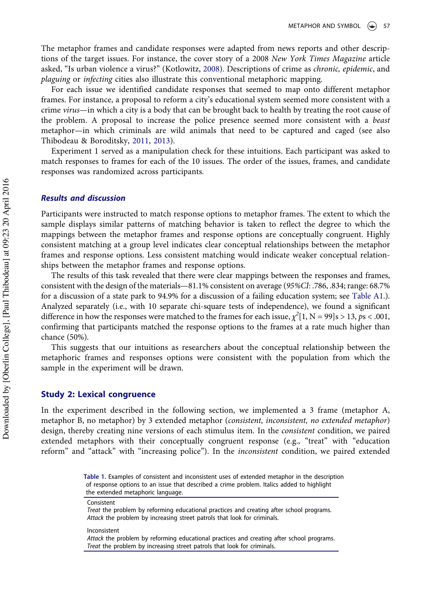The metaphor frames and candidate responses were adapted from news reports and other descriptions of the target issues. For instance, the cover story of a 2008 New York Times Magazine article asked, "Is urban violence a virus?" (Kotlowitz, [2008\)](#page-14-17). Descriptions of crime as chronic, epidemic, and plaguing or infecting cities also illustrate this conventional metaphoric mapping.

For each issue we identified candidate responses that seemed to map onto different metaphor frames. For instance, a proposal to reform a city's educational system seemed more consistent with a crime virus—in which a city is a body that can be brought back to health by treating the root cause of the problem. A proposal to increase the police presence seemed more consistent with a beast metaphor—in which criminals are wild animals that need to be captured and caged (see also Thibodeau & Boroditsky, [2011](#page-15-5), [2013\)](#page-15-6).

Experiment 1 served as a manipulation check for these intuitions. Each participant was asked to match responses to frames for each of the 10 issues. The order of the issues, frames, and candidate responses was randomized across participants.

# Results and discussion

Participants were instructed to match response options to metaphor frames. The extent to which the sample displays similar patterns of matching behavior is taken to reflect the degree to which the mappings between the metaphor frames and response options are conceptually congruent. Highly consistent matching at a group level indicates clear conceptual relationships between the metaphor frames and response options. Less consistent matching would indicate weaker conceptual relationships between the metaphor frames and response options.

The results of this task revealed that there were clear mappings between the responses and frames, consistent with the design of the materials—81.1% consistent on average (95%CI: .786, .834; range: 68.7% for a discussion of a state park to 94.9% for a discussion of a failing education system; see [Table A1](#page-19-0).). Analyzed separately (i.e., with 10 separate chi-square tests of independence), we found a significant difference in how the responses were matched to the frames for each issue,  $\chi^2[1, N = 99]s > 13$ ,  $ps < .001$ , confirming that participants matched the response options to the frames at a rate much higher than chance (50%).

This suggests that our intuitions as researchers about the conceptual relationship between the metaphoric frames and responses options were consistent with the population from which the sample in the experiment will be drawn.

# Study 2: Lexical congruence

Inconsistent

In the experiment described in the following section, we implemented a 3 frame (metaphor A, metaphor B, no metaphor) by 3 extended metaphor (consistent, inconsistent, no extended metaphor) design, thereby creating nine versions of each stimulus item. In the consistent condition, we paired extended metaphors with their conceptually congruent response (e.g., "treat" with "education reform" and "attack" with "increasing police"). In the inconsistent condition, we paired extended

<span id="page-4-0"></span>

| Table 1. Examples of consistent and inconsistent uses of extended metaphor in the description |
|-----------------------------------------------------------------------------------------------|
| of response options to an issue that described a crime problem. Italics added to highlight    |
| the extended metaphoric language.                                                             |

Consistent Treat the problem by reforming educational practices and creating after school programs. Attack the problem by increasing street patrols that look for criminals.

Attack the problem by reforming educational practices and creating after school programs. Treat the problem by increasing street patrols that look for criminals.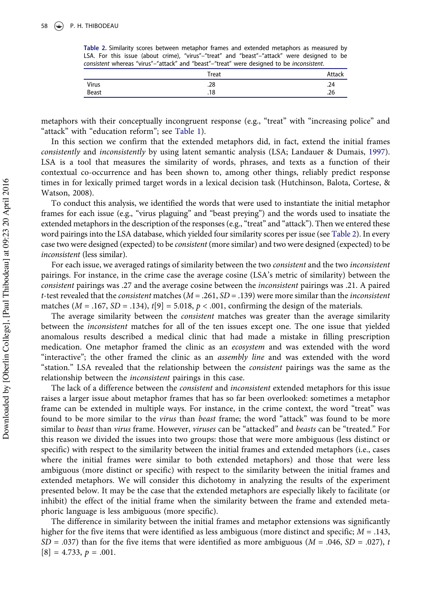<span id="page-5-0"></span>

|  |  | Table 2. Similarity scores between metaphor frames and extended metaphors as measured by    |  |  |  |  |  |  |  |  |
|--|--|---------------------------------------------------------------------------------------------|--|--|--|--|--|--|--|--|
|  |  | LSA. For this issue (about crime), "virus"-"treat" and "beast"-"attack" were designed to be |  |  |  |  |  |  |  |  |
|  |  | consistent whereas "virus"–"attack" and "beast"–"treat" were designed to be inconsistent.   |  |  |  |  |  |  |  |  |

|              | Treat | Attack                    |
|--------------|-------|---------------------------|
| Virus        | .28   | .24                       |
| <b>Beast</b> | .18   | $\mathbf{\hat{a}}$<br>،∠o |

metaphors with their conceptually incongruent response (e.g., "treat" with "increasing police" and "attack" with "education reform"; see [Table 1](#page-4-0)).

In this section we confirm that the extended metaphors did, in fact, extend the initial frames consistently and inconsistently by using latent semantic analysis (LSA; Landauer & Dumais, [1997](#page-14-18)). LSA is a tool that measures the similarity of words, phrases, and texts as a function of their contextual co-occurrence and has been shown to, among other things, reliably predict response times in for lexically primed target words in a lexical decision task (Hutchinson, Balota, Cortese, & Watson, 2008).

To conduct this analysis, we identified the words that were used to instantiate the initial metaphor frames for each issue (e.g., "virus plaguing" and "beast preying") and the words used to insatiate the extended metaphors in the description of the responses (e.g., "treat" and "attack"). Then we entered these word pairings into the LSA database, which yielded four similarity scores per issue (see [Table 2\)](#page-5-0). In every case two were designed (expected) to be consistent (more similar) and two were designed (expected) to be inconsistent (less similar).

For each issue, we averaged ratings of similarity between the two *consistent* and the two *inconsistent* pairings. For instance, in the crime case the average cosine (LSA's metric of similarity) between the consistent pairings was .27 and the average cosine between the inconsistent pairings was .21. A paired t-test revealed that the *consistent* matches  $(M = .261, SD = .139)$  were more similar than the *inconsistent* matches ( $M = .167$ ,  $SD = .134$ ),  $t[9] = 5.018$ ,  $p < .001$ , confirming the design of the materials.

The average similarity between the *consistent* matches was greater than the average similarity between the inconsistent matches for all of the ten issues except one. The one issue that yielded anomalous results described a medical clinic that had made a mistake in filling prescription medication. One metaphor framed the clinic as an *ecosystem* and was extended with the word "interactive"; the other framed the clinic as an *assembly line* and was extended with the word "station." LSA revealed that the relationship between the consistent pairings was the same as the relationship between the inconsistent pairings in this case.

The lack of a difference between the consistent and inconsistent extended metaphors for this issue raises a larger issue about metaphor frames that has so far been overlooked: sometimes a metaphor frame can be extended in multiple ways. For instance, in the crime context, the word "treat" was found to be more similar to the virus than beast frame; the word "attack" was found to be more similar to beast than virus frame. However, viruses can be "attacked" and beasts can be "treated." For this reason we divided the issues into two groups: those that were more ambiguous (less distinct or specific) with respect to the similarity between the initial frames and extended metaphors (i.e., cases where the initial frames were similar to both extended metaphors) and those that were less ambiguous (more distinct or specific) with respect to the similarity between the initial frames and extended metaphors. We will consider this dichotomy in analyzing the results of the experiment presented below. It may be the case that the extended metaphors are especially likely to facilitate (or inhibit) the effect of the initial frame when the similarity between the frame and extended metaphoric language is less ambiguous (more specific).

The difference in similarity between the initial frames and metaphor extensions was significantly higher for the five items that were identified as less ambiguous (more distinct and specific;  $M = .143$ ,  $SD = .037$ ) than for the five items that were identified as more ambiguous ( $M = .046$ ,  $SD = .027$ ), t  $[8] = 4.733, p = .001.$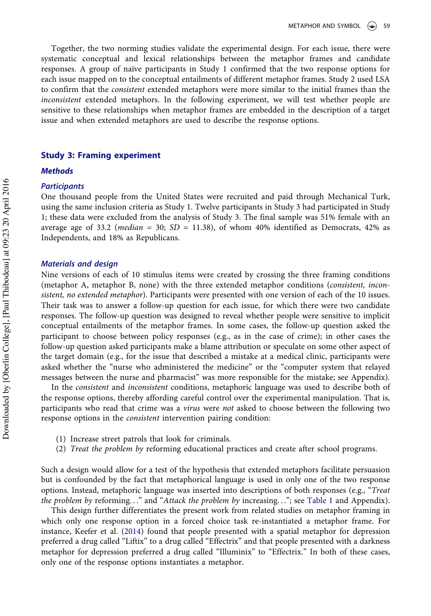Together, the two norming studies validate the experimental design. For each issue, there were systematic conceptual and lexical relationships between the metaphor frames and candidate responses. A group of naïve participants in Study 1 confirmed that the two response options for each issue mapped on to the conceptual entailments of different metaphor frames. Study 2 used LSA to confirm that the consistent extended metaphors were more similar to the initial frames than the inconsistent extended metaphors. In the following experiment, we will test whether people are sensitive to these relationships when metaphor frames are embedded in the description of a target issue and when extended metaphors are used to describe the response options.

# Study 3: Framing experiment

# **Methods**

#### **Participants**

One thousand people from the United States were recruited and paid through Mechanical Turk, using the same inclusion criteria as Study 1. Twelve participants in Study 3 had participated in Study 1; these data were excluded from the analysis of Study 3. The final sample was 51% female with an average age of 33.2 (*median* = 30;  $SD = 11.38$ ), of whom 40% identified as Democrats, 42% as Independents, and 18% as Republicans.

#### Materials and design

Nine versions of each of 10 stimulus items were created by crossing the three framing conditions (metaphor A, metaphor B, none) with the three extended metaphor conditions (consistent, inconsistent, no extended metaphor). Participants were presented with one version of each of the 10 issues. Their task was to answer a follow-up question for each issue, for which there were two candidate responses. The follow-up question was designed to reveal whether people were sensitive to implicit conceptual entailments of the metaphor frames. In some cases, the follow-up question asked the participant to choose between policy responses (e.g., as in the case of crime); in other cases the follow-up question asked participants make a blame attribution or speculate on some other aspect of the target domain (e.g., for the issue that described a mistake at a medical clinic, participants were asked whether the "nurse who administered the medicine" or the "computer system that relayed messages between the nurse and pharmacist" was more responsible for the mistake; see Appendix).

In the consistent and inconsistent conditions, metaphoric language was used to describe both of the response options, thereby affording careful control over the experimental manipulation. That is, participants who read that crime was a virus were not asked to choose between the following two response options in the consistent intervention pairing condition:

- (1) Increase street patrols that look for criminals.
- (2) Treat the problem by reforming educational practices and create after school programs.

Such a design would allow for a test of the hypothesis that extended metaphors facilitate persuasion but is confounded by the fact that metaphorical language is used in only one of the two response options. Instead, metaphoric language was inserted into descriptions of both responses (e.g., "Treat the problem by reforming..." and "Attack the problem by increasing..."; see [Table 1](#page-4-0) and Appendix).

This design further differentiates the present work from related studies on metaphor framing in which only one response option in a forced choice task re-instantiated a metaphor frame. For instance, Keefer et al. [\(2014\)](#page-14-5) found that people presented with a spatial metaphor for depression preferred a drug called "Liftix" to a drug called "Effectrix" and that people presented with a darkness metaphor for depression preferred a drug called "Illuminix" to "Effectrix." In both of these cases, only one of the response options instantiates a metaphor.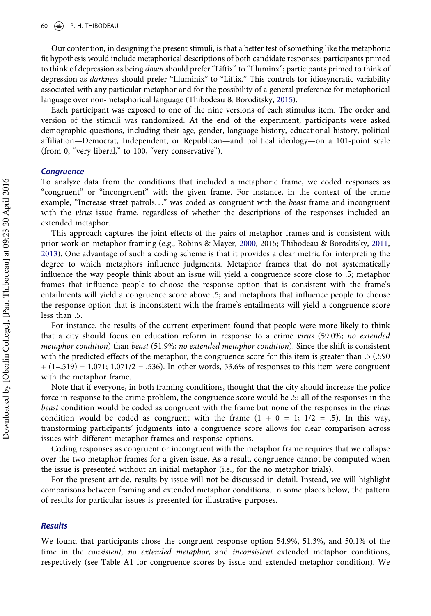Our contention, in designing the present stimuli, is that a better test of something like the metaphoric fit hypothesis would include metaphorical descriptions of both candidate responses: participants primed to think of depression as being down should prefer "Liftix" to "Illuminx"; participants primed to think of depression as *darkness* should prefer "Illuminix" to "Liftix." This controls for idiosyncratic variability associated with any particular metaphor and for the possibility of a general preference for metaphorical language over non-metaphorical language (Thibodeau & Boroditsky, [2015](#page-15-7)).

Each participant was exposed to one of the nine versions of each stimulus item. The order and version of the stimuli was randomized. At the end of the experiment, participants were asked demographic questions, including their age, gender, language history, educational history, political affiliation—Democrat, Independent, or Republican—and political ideology—on a 101-point scale (from 0, "very liberal," to 100, "very conservative").

#### **Congruence**

To analyze data from the conditions that included a metaphoric frame, we coded responses as "congruent" or "incongruent" with the given frame. For instance, in the context of the crime example, "Increase street patrols..." was coded as congruent with the *beast* frame and incongruent with the virus issue frame, regardless of whether the descriptions of the responses included an extended metaphor.

This approach captures the joint effects of the pairs of metaphor frames and is consistent with prior work on metaphor framing (e.g., Robins & Mayer, [2000](#page-15-4), 2015; Thibodeau & Boroditsky, [2011,](#page-15-5) [2013](#page-15-6)). One advantage of such a coding scheme is that it provides a clear metric for interpreting the degree to which metaphors influence judgments. Metaphor frames that do not systematically influence the way people think about an issue will yield a congruence score close to .5; metaphor frames that influence people to choose the response option that is consistent with the frame's entailments will yield a congruence score above .5; and metaphors that influence people to choose the response option that is inconsistent with the frame's entailments will yield a congruence score less than .5.

For instance, the results of the current experiment found that people were more likely to think that a city should focus on education reform in response to a crime virus (59.0%; no extended metaphor condition) than beast (51.9%; no extended metaphor condition). Since the shift is consistent with the predicted effects of the metaphor, the congruence score for this item is greater than .5 (.590  $+(1-.519) = 1.071; 1.071/2 = .536$ . In other words, 53.6% of responses to this item were congruent with the metaphor frame.

Note that if everyone, in both framing conditions, thought that the city should increase the police force in response to the crime problem, the congruence score would be .5: all of the responses in the beast condition would be coded as congruent with the frame but none of the responses in the *virus* condition would be coded as congruent with the frame  $(1 + 0 = 1; 1/2 = .5)$ . In this way, transforming participants' judgments into a congruence score allows for clear comparison across issues with different metaphor frames and response options.

Coding responses as congruent or incongruent with the metaphor frame requires that we collapse over the two metaphor frames for a given issue. As a result, congruence cannot be computed when the issue is presented without an initial metaphor (i.e., for the no metaphor trials).

For the present article, results by issue will not be discussed in detail. Instead, we will highlight comparisons between framing and extended metaphor conditions. In some places below, the pattern of results for particular issues is presented for illustrative purposes.

#### Results

We found that participants chose the congruent response option 54.9%, 51.3%, and 50.1% of the time in the consistent, no extended metaphor, and inconsistent extended metaphor conditions, respectively (see Table A1 for congruence scores by issue and extended metaphor condition). We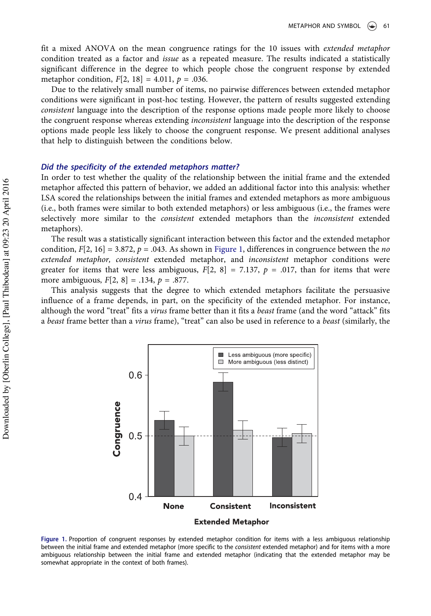fit a mixed ANOVA on the mean congruence ratings for the 10 issues with extended metaphor condition treated as a factor and *issue* as a repeated measure. The results indicated a statistically significant difference in the degree to which people chose the congruent response by extended metaphor condition,  $F[2, 18] = 4.011$ ,  $p = .036$ .

Due to the relatively small number of items, no pairwise differences between extended metaphor conditions were significant in post-hoc testing. However, the pattern of results suggested extending consistent language into the description of the response options made people more likely to choose the congruent response whereas extending *inconsistent* language into the description of the response options made people less likely to choose the congruent response. We present additional analyses that help to distinguish between the conditions below.

# Did the specificity of the extended metaphors matter?

In order to test whether the quality of the relationship between the initial frame and the extended metaphor affected this pattern of behavior, we added an additional factor into this analysis: whether LSA scored the relationships between the initial frames and extended metaphors as more ambiguous (i.e., both frames were similar to both extended metaphors) or less ambiguous (i.e., the frames were selectively more similar to the consistent extended metaphors than the inconsistent extended metaphors).

The result was a statistically significant interaction between this factor and the extended metaphor condition,  $F[2, 16] = 3.872$ ,  $p = .043$ . As shown in [Figure 1,](#page-8-0) differences in congruence between the *no* extended metaphor, consistent extended metaphor, and inconsistent metaphor conditions were greater for items that were less ambiguous,  $F[2, 8] = 7.137$ ,  $p = .017$ , than for items that were more ambiguous,  $F[2, 8] = .134$ ,  $p = .877$ .

This analysis suggests that the degree to which extended metaphors facilitate the persuasive influence of a frame depends, in part, on the specificity of the extended metaphor. For instance, although the word "treat" fits a virus frame better than it fits a beast frame (and the word "attack" fits a beast frame better than a virus frame), "treat" can also be used in reference to a beast (similarly, the



<span id="page-8-0"></span>Figure 1. Proportion of congruent responses by extended metaphor condition for items with a less ambiguous relationship between the initial frame and extended metaphor (more specific to the consistent extended metaphor) and for items with a more ambiguous relationship between the initial frame and extended metaphor (indicating that the extended metaphor may be somewhat appropriate in the context of both frames).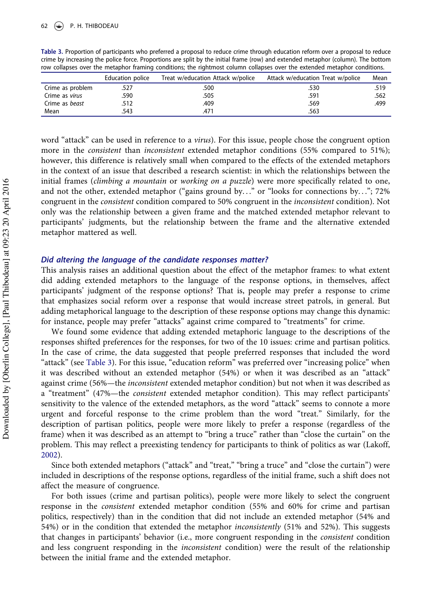<span id="page-9-0"></span>

| Table 3. Proportion of participants who preferred a proposal to reduce crime through education reform over a proposal to reduce   |
|-----------------------------------------------------------------------------------------------------------------------------------|
| crime by increasing the police force. Proportions are split by the initial frame (row) and extended metaphor (column). The bottom |
| row collapses over the metaphor framing conditions; the rightmost column collapses over the extended metaphor conditions.         |

|                  | Education police | Treat w/education Attack w/police | Attack w/education Treat w/police | Mean |
|------------------|------------------|-----------------------------------|-----------------------------------|------|
| Crime as problem | .527             | .500                              | .530                              | .519 |
| Crime as virus   | .590             | 505.                              | .591                              | .562 |
| Crime as beast   | .512             | .409                              | .569                              | .499 |
| Mean             | 543              | 471                               | .563                              |      |

word "attack" can be used in reference to a virus). For this issue, people chose the congruent option more in the consistent than inconsistent extended metaphor conditions (55% compared to 51%); however, this difference is relatively small when compared to the effects of the extended metaphors in the context of an issue that described a research scientist: in which the relationships between the initial frames (climbing a mountain or working on a puzzle) were more specifically related to one, and not the other, extended metaphor ("gains ground by..." or "looks for connections by..."; 72% congruent in the consistent condition compared to 50% congruent in the inconsistent condition). Not only was the relationship between a given frame and the matched extended metaphor relevant to participants' judgments, but the relationship between the frame and the alternative extended metaphor mattered as well.

#### Did altering the language of the candidate responses matter?

This analysis raises an additional question about the effect of the metaphor frames: to what extent did adding extended metaphors to the language of the response options, in themselves, affect participants' judgment of the response options? That is, people may prefer a response to crime that emphasizes social reform over a response that would increase street patrols, in general. But adding metaphorical language to the description of these response options may change this dynamic: for instance, people may prefer "attacks" against crime compared to "treatments" for crime.

We found some evidence that adding extended metaphoric language to the descriptions of the responses shifted preferences for the responses, for two of the 10 issues: crime and partisan politics. In the case of crime, the data suggested that people preferred responses that included the word "attack" (see [Table 3\)](#page-9-0). For this issue, "education reform" was preferred over "increasing police" when it was described without an extended metaphor (54%) or when it was described as an "attack" against crime (56%—the *inconsistent* extended metaphor condition) but not when it was described as a "treatment" (47%—the consistent extended metaphor condition). This may reflect participants' sensitivity to the valence of the extended metaphors, as the word "attack" seems to connote a more urgent and forceful response to the crime problem than the word "treat." Similarly, for the description of partisan politics, people were more likely to prefer a response (regardless of the frame) when it was described as an attempt to "bring a truce" rather than "close the curtain" on the problem. This may reflect a preexisting tendency for participants to think of politics as war (Lakoff, [2002](#page-14-19)).

Since both extended metaphors ("attack" and "treat," "bring a truce" and "close the curtain") were included in descriptions of the response options, regardless of the initial frame, such a shift does not affect the measure of congruence.

For both issues (crime and partisan politics), people were more likely to select the congruent response in the consistent extended metaphor condition (55% and 60% for crime and partisan politics, respectively) than in the condition that did not include an extended metaphor (54% and 54%) or in the condition that extended the metaphor *inconsistently* (51% and 52%). This suggests that changes in participants' behavior (i.e., more congruent responding in the consistent condition and less congruent responding in the *inconsistent* condition) were the result of the relationship between the initial frame and the extended metaphor.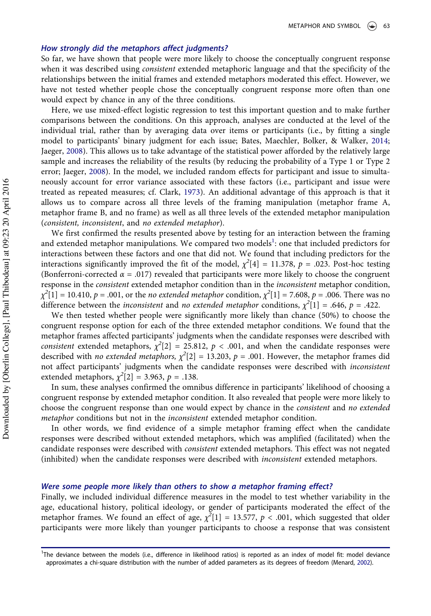# How strongly did the metaphors affect judgments?

So far, we have shown that people were more likely to choose the conceptually congruent response when it was described using consistent extended metaphoric language and that the specificity of the relationships between the initial frames and extended metaphors moderated this effect. However, we have not tested whether people chose the conceptually congruent response more often than one would expect by chance in any of the three conditions.

Here, we use mixed-effect logistic regression to test this important question and to make further comparisons between the conditions. On this approach, analyses are conducted at the level of the individual trial, rather than by averaging data over items or participants (i.e., by fitting a single model to participants' binary judgment for each issue; Bates, Maechler, Bolker, & Walker, [2014;](#page-13-2) Jaeger, [2008\)](#page-14-20). This allows us to take advantage of the statistical power afforded by the relatively large sample and increases the reliability of the results (by reducing the probability of a Type 1 or Type 2 error; Jaeger, [2008](#page-14-20)). In the model, we included random effects for participant and issue to simultaneously account for error variance associated with these factors (i.e., participant and issue were treated as repeated measures; cf. Clark, [1973](#page-14-21)). An additional advantage of this approach is that it allows us to compare across all three levels of the framing manipulation (metaphor frame A, metaphor frame B, and no frame) as well as all three levels of the extended metaphor manipulation (consistent, inconsistent, and no extended metaphor).

<span id="page-10-0"></span>We first confirmed the results presented above by testing for an interaction between the framing and extended metaphor manipulations. We compared two models<sup>[1](#page-10-0)</sup>: one that included predictors for interactions between these factors and one that did not. We found that including predictors for the interactions significantly improved the fit of the model,  $\chi^2[4] = 11.378$ ,  $p = .023$ . Post-hoc testing (Bonferroni-corrected  $\alpha = .017$ ) revealed that participants were more likely to choose the congruent response in the consistent extended metaphor condition than in the inconsistent metaphor condition,  $\chi^2[1] = 10.410, p = .001$ , or the no extended metaphor condition,  $\chi^2[1] = 7.608, p = .006$ . There was no difference between the *inconsistent* and *no extended metaphor* conditions,  $\chi^2[1] = .646$ ,  $p = .422$ .

We then tested whether people were significantly more likely than chance (50%) to choose the congruent response option for each of the three extended metaphor conditions. We found that the metaphor frames affected participants' judgments when the candidate responses were described with consistent extended metaphors,  $\chi^2[2] = 25.812$ ,  $p < .001$ , and when the candidate responses were described with *no extended metaphors*,  $\chi^2[2] = 13.203$ ,  $p = .001$ . However, the metaphor frames did not affect participants' judgments when the candidate responses were described with inconsistent extended metaphors,  $\chi^2[2] = 3.963$ ,  $p = .138$ .

In sum, these analyses confirmed the omnibus difference in participants' likelihood of choosing a congruent response by extended metaphor condition. It also revealed that people were more likely to choose the congruent response than one would expect by chance in the consistent and no extended metaphor conditions but not in the inconsistent extended metaphor condition.

In other words, we find evidence of a simple metaphor framing effect when the candidate responses were described without extended metaphors, which was amplified (facilitated) when the candidate responses were described with consistent extended metaphors. This effect was not negated (inhibited) when the candidate responses were described with inconsistent extended metaphors.

#### Were some people more likely than others to show a metaphor framing effect?

Finally, we included individual difference measures in the model to test whether variability in the age, educational history, political ideology, or gender of participants moderated the effect of the metaphor frames. We found an effect of age,  $\chi^2[1] = 13.577$ ,  $p < .001$ , which suggested that older participants were more likely than younger participants to choose a response that was consistent

<sup>&</sup>lt;sup>1</sup>The deviance between the models (i.e., difference in likelihood ratios) is reported as an index of model fit: model deviance approximates a chi-square distribution with the number of added parameters as its degrees of freedom (Menard, [2002\)](#page-14-22).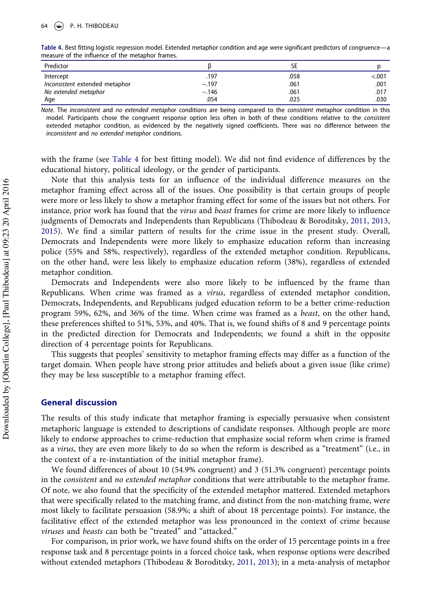| Predictor                      |         |      |         |
|--------------------------------|---------|------|---------|
| Intercept                      | .197    | .058 | < 0.001 |
| Inconsistent extended metaphor | $-.197$ | .061 | .001    |
| No extended metaphor           | $-.146$ | .061 | .017    |
| Age                            | .054    | .025 | .030    |

<span id="page-11-0"></span>Table 4. Best fitting logistic regression model. Extended metaphor condition and age were significant predictors of congruence—a measure of the influence of the metaphor frames.

Note. The inconsistent and no extended metaphor conditions are being compared to the consistent metaphor condition in this model. Participants chose the congruent response option less often in both of these conditions relative to the consistent extended metaphor condition, as evidenced by the negatively signed coefficients. There was no difference between the inconsistent and no extended metaphor conditions.

with the frame (see [Table 4](#page-11-0) for best fitting model). We did not find evidence of differences by the educational history, political ideology, or the gender of participants.

Note that this analysis tests for an influence of the individual difference measures on the metaphor framing effect across all of the issues. One possibility is that certain groups of people were more or less likely to show a metaphor framing effect for some of the issues but not others. For instance, prior work has found that the *virus* and *beast* frames for crime are more likely to influence judgments of Democrats and Independents than Republicans (Thibodeau & Boroditsky, [2011](#page-15-5), [2013,](#page-15-6) [2015](#page-15-7)). We find a similar pattern of results for the crime issue in the present study. Overall, Democrats and Independents were more likely to emphasize education reform than increasing police (55% and 58%, respectively), regardless of the extended metaphor condition. Republicans, on the other hand, were less likely to emphasize education reform (38%), regardless of extended metaphor condition.

Democrats and Independents were also more likely to be influenced by the frame than Republicans. When crime was framed as a virus, regardless of extended metaphor condition, Democrats, Independents, and Republicans judged education reform to be a better crime-reduction program 59%, 62%, and 36% of the time. When crime was framed as a beast, on the other hand, these preferences shifted to 51%, 53%, and 40%. That is, we found shifts of 8 and 9 percentage points in the predicted direction for Democrats and Independents; we found a shift in the opposite direction of 4 percentage points for Republicans.

This suggests that peoples' sensitivity to metaphor framing effects may differ as a function of the target domain. When people have strong prior attitudes and beliefs about a given issue (like crime) they may be less susceptible to a metaphor framing effect.

# General discussion

The results of this study indicate that metaphor framing is especially persuasive when consistent metaphoric language is extended to descriptions of candidate responses. Although people are more likely to endorse approaches to crime-reduction that emphasize social reform when crime is framed as a virus, they are even more likely to do so when the reform is described as a "treatment" (i.e., in the context of a re-instantiation of the initial metaphor frame).

We found differences of about 10 (54.9% congruent) and 3 (51.3% congruent) percentage points in the *consistent* and *no extended metaphor* conditions that were attributable to the metaphor frame. Of note, we also found that the specificity of the extended metaphor mattered. Extended metaphors that were specifically related to the matching frame, and distinct from the non-matching frame, were most likely to facilitate persuasion (58.9%; a shift of about 18 percentage points). For instance, the facilitative effect of the extended metaphor was less pronounced in the context of crime because viruses and beasts can both be "treated" and "attacked."

For comparison, in prior work, we have found shifts on the order of 15 percentage points in a free response task and 8 percentage points in a forced choice task, when response options were described without extended metaphors (Thibodeau & Boroditsky, [2011](#page-15-5), [2013\)](#page-15-6); in a meta-analysis of metaphor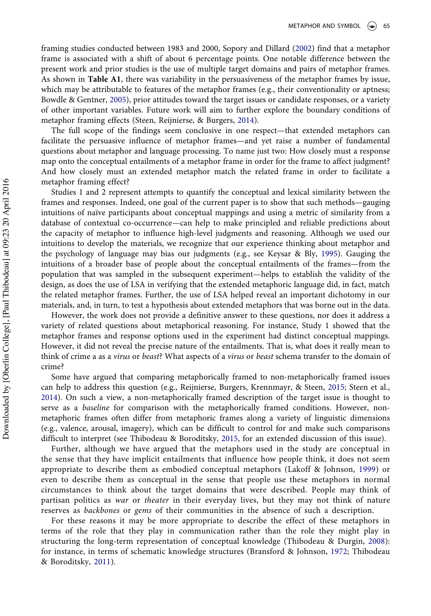framing studies conducted between 1983 and 2000, Sopory and Dillard [\(2002](#page-15-1)) find that a metaphor frame is associated with a shift of about 6 percentage points. One notable difference between the present work and prior studies is the use of multiple target domains and pairs of metaphor frames. As shown in Table A1, there was variability in the persuasiveness of the metaphor frames by issue, which may be attributable to features of the metaphor frames (e.g., their conventionality or aptness; Bowdle & Gentner, [2005](#page-14-14)), prior attitudes toward the target issues or candidate responses, or a variety of other important variables. Future work will aim to further explore the boundary conditions of metaphor framing effects (Steen, Reijnierse, & Burgers, [2014](#page-15-11)).

The full scope of the findings seem conclusive in one respect—that extended metaphors can facilitate the persuasive influence of metaphor frames—and yet raise a number of fundamental questions about metaphor and language processing. To name just two: How closely must a response map onto the conceptual entailments of a metaphor frame in order for the frame to affect judgment? And how closely must an extended metaphor match the related frame in order to facilitate a metaphor framing effect?

Studies 1 and 2 represent attempts to quantify the conceptual and lexical similarity between the frames and responses. Indeed, one goal of the current paper is to show that such methods—gauging intuitions of naïve participants about conceptual mappings and using a metric of similarity from a database of contextual co-occurrence—can help to make principled and reliable predictions about the capacity of metaphor to influence high-level judgments and reasoning. Although we used our intuitions to develop the materials, we recognize that our experience thinking about metaphor and the psychology of language may bias our judgments (e.g., see Keysar & Bly, [1995\)](#page-14-23). Gauging the intuitions of a broader base of people about the conceptual entailments of the frames—from the population that was sampled in the subsequent experiment—helps to establish the validity of the design, as does the use of LSA in verifying that the extended metaphoric language did, in fact, match the related metaphor frames. Further, the use of LSA helped reveal an important dichotomy in our materials, and, in turn, to test a hypothesis about extended metaphors that was borne out in the data.

However, the work does not provide a definitive answer to these questions, nor does it address a variety of related questions about metaphorical reasoning. For instance, Study 1 showed that the metaphor frames and response options used in the experiment had distinct conceptual mappings. However, it did not reveal the precise nature of the entailments. That is, what does it really mean to think of crime a as a virus or beast? What aspects of a virus or beast schema transfer to the domain of crime?

Some have argued that comparing metaphorically framed to non-metaphorically framed issues can help to address this question (e.g., Reijnierse, Burgers, Krennmayr, & Steen, [2015;](#page-15-12) Steen et al., [2014](#page-15-11)). On such a view, a non-metaphorically framed description of the target issue is thought to serve as a *baseline* for comparison with the metaphorically framed conditions. However, nonmetaphoric frames often differ from metaphoric frames along a variety of linguistic dimensions (e.g., valence, arousal, imagery), which can be difficult to control for and make such comparisons difficult to interpret (see Thibodeau & Boroditsky, [2015](#page-15-7), for an extended discussion of this issue).

Further, although we have argued that the metaphors used in the study are conceptual in the sense that they have implicit entailments that influence how people think, it does not seem appropriate to describe them as embodied conceptual metaphors (Lakoff & Johnson, [1999](#page-14-24)) or even to describe them as conceptual in the sense that people use these metaphors in normal circumstances to think about the target domains that were described. People may think of partisan politics as war or theater in their everyday lives, but they may not think of nature reserves as backbones or gems of their communities in the absence of such a description.

For these reasons it may be more appropriate to describe the effect of these metaphors in terms of the role that they play in communication rather than the role they might play in structuring the long-term representation of conceptual knowledge (Thibodeau & Durgin, [2008](#page-15-9)): for instance, in terms of schematic knowledge structures (Bransford & Johnson, [1972](#page-14-25); Thibodeau & Boroditsky, [2011](#page-15-5)).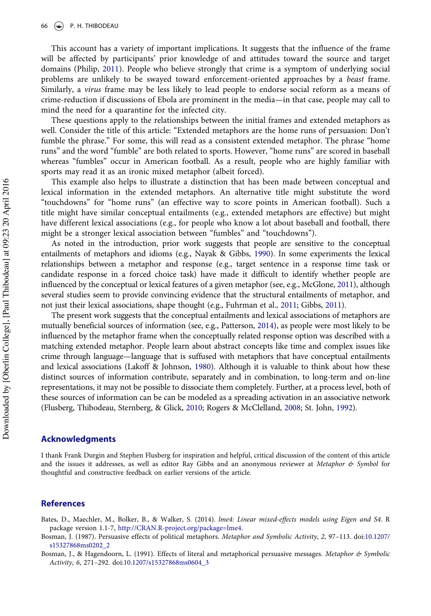This account has a variety of important implications. It suggests that the influence of the frame will be affected by participants' prior knowledge of and attitudes toward the source and target domains (Philip, [2011](#page-15-13)). People who believe strongly that crime is a symptom of underlying social problems are unlikely to be swayed toward enforcement-oriented approaches by a beast frame. Similarly, a virus frame may be less likely to lead people to endorse social reform as a means of crime-reduction if discussions of Ebola are prominent in the media—in that case, people may call to mind the need for a quarantine for the infected city.

These questions apply to the relationships between the initial frames and extended metaphors as well. Consider the title of this article: "Extended metaphors are the home runs of persuasion: Don't fumble the phrase." For some, this will read as a consistent extended metaphor. The phrase "home runs" and the word "fumble" are both related to sports. However, "home runs" are scored in baseball whereas "fumbles" occur in American football. As a result, people who are highly familiar with sports may read it as an ironic mixed metaphor (albeit forced).

This example also helps to illustrate a distinction that has been made between conceptual and lexical information in the extended metaphors. An alternative title might substitute the word "touchdowns" for "home runs" (an effective way to score points in American football). Such a title might have similar conceptual entailments (e.g., extended metaphors are effective) but might have different lexical associations (e.g., for people who know a lot about baseball and football, there might be a stronger lexical association between "fumbles" and "touchdowns").

As noted in the introduction, prior work suggests that people are sensitive to the conceptual entailments of metaphors and idioms (e.g., Nayak & Gibbs, [1990\)](#page-14-11). In some experiments the lexical relationships between a metaphor and response (e.g., target sentence in a response time task or candidate response in a forced choice task) have made it difficult to identify whether people are influenced by the conceptual or lexical features of a given metaphor (see, e.g., McGlone, [2011](#page-14-15)), although several studies seem to provide convincing evidence that the structural entailments of metaphor, and not just their lexical associations, shape thought (e.g., Fuhrman et al., [2011;](#page-14-26) Gibbs, [2011](#page-14-27)).

The present work suggests that the conceptual entailments and lexical associations of metaphors are mutually beneficial sources of information (see, e.g., Patterson, [2014\)](#page-15-10), as people were most likely to be influenced by the metaphor frame when the conceptually related response option was described with a matching extended metaphor. People learn about abstract concepts like time and complex issues like crime through language—language that is suffused with metaphors that have conceptual entailments and lexical associations (Lakoff & Johnson, [1980](#page-14-1)). Although it is valuable to think about how these distinct sources of information contribute, separately and in combination, to long-term and on-line representations, it may not be possible to dissociate them completely. Further, at a process level, both of these sources of information can be can be modeled as a spreading activation in an associative network (Flusberg, Thibodeau, Sternberg, & Glick, [2010](#page-14-28); Rogers & McClelland, [2008](#page-15-14); St. John, [1992](#page-15-15)).

#### Acknowledgments

I thank Frank Durgin and Stephen Flusberg for inspiration and helpful, critical discussion of the content of this article and the issues it addresses, as well as editor Ray Gibbs and an anonymous reviewer at Metaphor  $\&$  Symbol for thoughtful and constructive feedback on earlier versions of the article.

# References

<span id="page-13-2"></span>Bates, D., Maechler, M., Bolker, B., & Walker, S. (2014). lme4: Linear mixed-effects models using Eigen and S4. R package version 1.1-7, <http://CRAN.R-project.org/package=lme4>.

<span id="page-13-0"></span>Bosman, J. (1987). Persuasive effects of political metaphors. Metaphor and Symbolic Activity, 2, 97–113. doi:[10.1207/](http://dx.doi.org/10.1207/s15327868ms0202%5F2) [s15327868ms0202\\_2](http://dx.doi.org/10.1207/s15327868ms0202%5F2)

<span id="page-13-1"></span>Bosman, J., & Hagendoorn, L. (1991). Effects of literal and metaphorical persuasive messages. Metaphor & Symbolic Activity, 6, 271–292. doi:[10.1207/s15327868ms0604\\_3](http://dx.doi.org/10.1207/s15327868ms0604%5F3)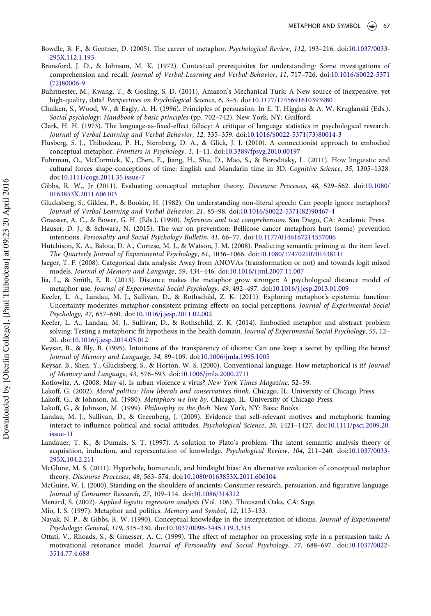- <span id="page-14-14"></span>Bowdle, B. F., & Gentner, D. (2005). The career of metaphor. Psychological Review, 112, 193–216. doi:[10.1037/0033-](http://dx.doi.org/10.1037/0033-295X.112.1.193) [295X.112.1.193](http://dx.doi.org/10.1037/0033-295X.112.1.193)
- <span id="page-14-25"></span>Bransford, J. D., & Johnson, M. K. (1972). Contextual prerequisites for understanding: Some investigations of comprehension and recall. Journal of Verbal Learning and Verbal Behavior, 11, 717–726. doi:[10.1016/S0022-5371](http://dx.doi.org/10.1016/S0022-5371(72)80006-9) [\(72\)80006-9](http://dx.doi.org/10.1016/S0022-5371(72)80006-9)
- <span id="page-14-16"></span>Buhrmester, M., Kwang, T., & Gosling, S. D. (2011). Amazon's Mechanical Turk: A New source of inexpensive, yet high-quality, data? Perspectives on Psychological Science, 6, 3-5. doi:[10.1177/1745691610393980](http://dx.doi.org/10.1177/1745691610393980)
- <span id="page-14-10"></span>Chaiken, S., Wood, W., & Eagly, A. H. (1996). Principles of persuasion. In E. T. Higgins & A. W. Kruglanski (Eds.), Social psychology: Handbook of basic principles (pp. 702–742). New York, NY: Guilford.
- <span id="page-14-21"></span>Clark, H. H. (1973). The language-as-fixed-effect fallacy: A critique of language statistics in psychological research. Journal of Verbal Learning and Verbal Behavior, 12, 335–359. doi:[10.1016/S0022-5371\(73\)80014-3](http://dx.doi.org/10.1016/S0022-5371(73)80014-3)
- <span id="page-14-28"></span>Flusberg, S. J., Thibodeau, P. H., Sternberg, D. A., & Glick, J. J. (2010). A connectionist approach to embodied conceptual metaphor. Frontiers in Psychology, 1, 1–11. doi:[10.3389/fpsyg.2010.00197](http://dx.doi.org/10.3389/fpsyg.2010.00197)
- <span id="page-14-26"></span>Fuhrman, O., McCormick, K., Chen, E., Jiang, H., Shu, D., Mao, S., & Boroditsky, L. (2011). How linguistic and cultural forces shape conceptions of time: English and Mandarin time in 3D. Cognitive Science, 35, 1305–1328. doi:[10.1111/cogs.2011.35.issue-7](http://dx.doi.org/10.1111/cogs.2011.35.issue-7)
- <span id="page-14-27"></span>Gibbs, R. W., Jr (2011). Evaluating conceptual metaphor theory. Discourse Processes, 48, 529-562. doi:[10.1080/](http://dx.doi.org/10.1080/0163853X.2011.606103) [0163853X.2011.606103](http://dx.doi.org/10.1080/0163853X.2011.606103)
- <span id="page-14-9"></span>Glucksberg, S., Gildea, P., & Bookin, H. (1982). On understanding non-literal speech: Can people ignore metaphors? Journal of Verbal Learning and Verbal Behavior, 21, 85–98. doi:[10.1016/S0022-5371\(82\)90467-4](http://dx.doi.org/10.1016/S0022-5371(82)90467-4)
- <span id="page-14-13"></span><span id="page-14-2"></span>Graesser, A. C., & Bower, G. H. (Eds.). (1990). Inferences and text comprehension. San Diego, CA: Academic Press.
- Hauser, D. J., & Schwarz, N. (2015). The war on prevention: Bellicose cancer metaphors hurt (some) prevention intentions. Personality and Social Psychology Bulletin, 41, 66–77. doi:[10.1177/0146167214557006](http://dx.doi.org/10.1177/0146167214557006)
- Hutchison, K. A., Balota, D. A., Cortese, M. J., & Watson, J. M. (2008). Predicting semantic priming at the item level. The Quarterly Journal of Experimental Psychology, 61, 1036–1066. doi:[10.1080/17470210701438111](http://dx.doi.org/10.1080/17470210701438111)
- <span id="page-14-20"></span>Jaeger, T. F. (2008). Categorical data analysis: Away from ANOVAs (transformation or not) and towards logit mixed models. Journal of Memory and Language, 59, 434–446. doi:[10.1016/j.jml.2007.11.007](http://dx.doi.org/10.1016/j.jml.2007.11.007)
- <span id="page-14-3"></span>Jia, L., & Smith, E. R. (2013). Distance makes the metaphor grow stronger: A psychological distance model of metaphor use. Journal of Experimental Social Psychology, 49, 492–497. doi:[10.1016/j.jesp.2013.01.009](http://dx.doi.org/10.1016/j.jesp.2013.01.009)
- <span id="page-14-4"></span>Keefer, L. A., Landau, M. J., Sullivan, D., & Rothschild, Z. K. (2011). Exploring metaphor's epistemic function: Uncertainty moderates metaphor-consistent priming effects on social perceptions. Journal of Experimental Social Psychology, 47, 657–660. doi:[10.1016/j.jesp.2011.02.002](http://dx.doi.org/10.1016/j.jesp.2011.02.002)
- <span id="page-14-5"></span>Keefer, L. A., Landau, M. J., Sullivan, D., & Rothschild, Z. K. (2014). Embodied metaphor and abstract problem solving: Testing a metaphoric fit hypothesis in the health domain. Journal of Experimental Social Psychology, 55, 12-20. doi:[10.1016/j.jesp.2014.05.012](http://dx.doi.org/10.1016/j.jesp.2014.05.012)
- <span id="page-14-23"></span>Keysar, B., & Bly, B. (1995). Intuitions of the transparency of idioms: Can one keep a secret by spilling the beans? Journal of Memory and Language, 34, 89–109. doi:[10.1006/jmla.1995.1005](http://dx.doi.org/10.1006/jmla.1995.1005)
- <span id="page-14-12"></span>Keysar, B., Shen, Y., Glucksberg, S., & Horton, W. S. (2000). Conventional language: How metaphorical is it? Journal of Memory and Language, 43, 576–593. doi:[10.1006/jmla.2000.2711](http://dx.doi.org/10.1006/jmla.2000.2711)
- <span id="page-14-19"></span><span id="page-14-17"></span>Kotlowitz, A. (2008, May 4). Is urban violence a virus? New York Times Magazine. 52–59.
- <span id="page-14-1"></span>Lakoff, G. (2002). Moral politics: How liberals and conservatives think. Chicago, IL: University of Chicago Press.
- <span id="page-14-24"></span>Lakoff, G., & Johnson, M. (1980). Metaphors we live by. Chicago, IL: University of Chicago Press.
- Lakoff, G., & Johnson, M. (1999). Philosophy in the flesh. New York, NY: Basic Books.
- <span id="page-14-6"></span>Landau, M. J., Sullivan, D., & Greenberg, J. (2009). Evidence that self-relevant motives and metaphoric framing interact to influence political and social attitudes. Psychological Science, 20, 1421–1427. doi:[10.1111/psci.2009.20.](http://dx.doi.org/10.1111/psci.2009.20.issue-11) [issue-11](http://dx.doi.org/10.1111/psci.2009.20.issue-11)
- <span id="page-14-18"></span>Landauer, T. K., & Dumais, S. T. (1997). A solution to Plato's problem: The latent semantic analysis theory of acquisition, induction, and representation of knowledge. Psychological Review, 104, 211–240. doi:[10.1037/0033-](http://dx.doi.org/10.1037/0033-295X.104.2.211) [295X.104.2.211](http://dx.doi.org/10.1037/0033-295X.104.2.211)
- <span id="page-14-15"></span>McGlone, M. S. (2011). Hyperbole, homunculi, and hindsight bias: An alternative evaluation of conceptual metaphor theory. Discourse Processes, 48, 563–574. doi:[10.1080/0163853X.2011.606104](http://dx.doi.org/10.1080/0163853X.2011.606104)
- <span id="page-14-7"></span>McGuire, W. J. (2000). Standing on the shoulders of ancients: Consumer research, persuasion, and figurative language. Journal of Consumer Research, 27, 109–114. doi:[10.1086/314312](http://dx.doi.org/10.1086/314312)
- <span id="page-14-22"></span>Menard, S. (2002). Applied logistic regression analysis (Vol. 106). Thousand Oaks, CA: Sage.
- <span id="page-14-0"></span>Mio, J. S. (1997). Metaphor and politics. Memory and Symbol, 12, 113–133.
- <span id="page-14-11"></span>Nayak, N. P., & Gibbs, R. W. (1990). Conceptual knowledge in the interpretation of idioms. Journal of Experimental Psychology: General, 119, 315–330. doi:[10.1037/0096-3445.119.3.315](http://dx.doi.org/10.1037/0096-3445.119.3.315)
- <span id="page-14-8"></span>Ottati, V., Rhoads, S., & Graesser, A. C. (1999). The effect of metaphor on processing style in a persuasion task: A motivational resonance model. Journal of Personality and Social Psychology, 77, 688–697. doi:[10.1037/0022-](http://dx.doi.org/10.1037/0022-3514.77.4.688) [3514.77.4.688](http://dx.doi.org/10.1037/0022-3514.77.4.688)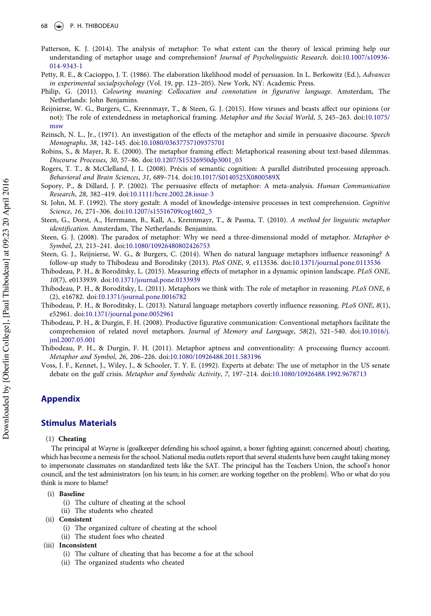- <span id="page-15-10"></span>Patterson, K. J. (2014). The analysis of metaphor: To what extent can the theory of lexical priming help our understanding of metaphor usage and comprehension? Journal of Psycholinguistic Research. doi:[10.1007/s10936-](http://dx.doi.org/10.1007/s10936-014-9343-1) [014-9343-1](http://dx.doi.org/10.1007/s10936-014-9343-1)
- Petty, R. E., & Cacioppo, J. T. (1986). The elaboration likelihood model of persuasion. In L. Berkowitz (Ed.), Advances in experimental socialpsychology (Vol. 19, pp. 123–205). New York, NY: Academic Press.
- <span id="page-15-13"></span>Philip, G. (2011). Colouring meaning: Collocation and connotation in figurative language. Amsterdam, The Netherlands: John Benjamins.
- <span id="page-15-12"></span>Reijnierse, W. G., Burgers, C., Krennmayr, T., & Steen, G. J. (2015). How viruses and beasts affect our opinions (or not): The role of extendedness in metaphorical framing. Metaphor and the Social World, 5, 245–263. doi:[10.1075/](http://dx.doi.org/10.1075/msw) [msw](http://dx.doi.org/10.1075/msw)
- <span id="page-15-3"></span>Reinsch, N. L., Jr., (1971). An investigation of the effects of the metaphor and simile in persuasive discourse. Speech Monographs, 38, 142–145. doi:[10.1080/03637757109375701](http://dx.doi.org/10.1080/03637757109375701)
- <span id="page-15-4"></span>Robins, S., & Mayer, R. E. (2000). The metaphor framing effect: Metaphorical reasoning about text-based dilemmas. Discourse Processes, 30, 57–86. doi:[10.1207/S15326950dp3001\\_03](http://dx.doi.org/10.1207/S15326950dp3001%5F03)
- <span id="page-15-14"></span>Rogers, T. T., & McClelland, J. L. (2008). Précis of semantic cognition: A parallel distributed processing approach. Behavioral and Brain Sciences, 31, 689–714. doi:[10.1017/S0140525X0800589X](http://dx.doi.org/10.1017/S0140525X0800589X)
- <span id="page-15-1"></span>Sopory, P., & Dillard, J. P. (2002). The persuasive effects of metaphor: A meta-analysis. Human Communication Research, 28, 382–419. doi:[10.1111/hcre.2002.28.issue-3](http://dx.doi.org/10.1111/hcre.2002.28.issue-3)
- <span id="page-15-15"></span>St. John, M. F. (1992). The story gestalt: A model of knowledge-intensive processes in text comprehension. Cognitive Science, 16, 271–306. doi:[10.1207/s15516709cog1602\\_5](http://dx.doi.org/10.1207/s15516709cog1602%5F5)
- <span id="page-15-0"></span>Steen, G., Dorst, A., Herrmann, B., Kall, A., Krennmayr, T., & Pasma, T. (2010). A method for linguistic metaphor identification. Amsterdam, The Netherlands: Benjamins.
- <span id="page-15-8"></span>Steen, G. J. (2008). The paradox of metaphor: Why we need a three-dimensional model of metaphor. Metaphor & Symbol, 23, 213–241. doi:[10.1080/10926480802426753](http://dx.doi.org/10.1080/10926480802426753)
- <span id="page-15-11"></span>Steen, G. J., Reijnierse, W. G., & Burgers, C. (2014). When do natural language metaphors influence reasoning? A follow-up study to Thibodeau and Boroditsky (2013). PloS ONE, 9, e113536. doi:[10.1371/journal.pone.0113536](http://dx.doi.org/10.1371/journal.pone.0113536)
- <span id="page-15-7"></span>Thibodeau, P. H., & Boroditsky, L. (2015). Measuring effects of metaphor in a dynamic opinion landscape. PLoS ONE, 10(7), e0133939. doi:[10.1371/journal.pone.0133939](http://dx.doi.org/10.1371/journal.pone.0133939)
- <span id="page-15-5"></span>Thibodeau, P. H., & Boroditsky, L. (2011). Metaphors we think with: The role of metaphor in reasoning. PLoS ONE, 6 (2), e16782. doi:[10.1371/journal.pone.0016782](http://dx.doi.org/10.1371/journal.pone.0016782)
- <span id="page-15-6"></span>Thibodeau, P. H., & Boroditsky, L. (2013). Natural language metaphors covertly influence reasoning. PLoS ONE, 8(1), e52961. doi:[10.1371/journal.pone.0052961](http://dx.doi.org/10.1371/journal.pone.0052961)
- <span id="page-15-9"></span>Thibodeau, P. H., & Durgin, F. H. (2008). Productive figurative communication: Conventional metaphors facilitate the comprehension of related novel metaphors. Journal of Memory and Language, 58(2), 521–540. doi:[10.1016/j.](http://dx.doi.org/10.1016/j.jml.2007.05.001) [jml.2007.05.001](http://dx.doi.org/10.1016/j.jml.2007.05.001)
- Thibodeau, P. H., & Durgin, F. H. (2011). Metaphor aptness and conventionality: A processing fluency account. Metaphor and Symbol, 26, 206–226. doi:[10.1080/10926488.2011.583196](http://dx.doi.org/10.1080/10926488.2011.583196)
- <span id="page-15-2"></span>Voss, J. F., Kennet, J., Wiley, J., & Schooler, T. Y. E. (1992). Experts at debate: The use of metaphor in the US senate debate on the gulf crisis. Metaphor and Symbolic Activity, 7, 197–214. doi:[10.1080/10926488.1992.9678713](http://dx.doi.org/10.1080/10926488.1992.9678713)

# Appendix

# Stimulus Materials

#### (1) Cheating

The principal at Wayne is {goalkeeper defending his school against, a boxer fighting against; concerned about} cheating, which has become a nemesis for the school. National media outlets report that several students have been caught taking money to impersonate classmates on standardized tests like the SAT. The principal has the Teachers Union, the school's honor council, and the test administrators {on his team; in his corner; are working together on the problem}. Who or what do you think is more to blame?

- (i) Baseline
	- (i) The culture of cheating at the school
	- (ii) The students who cheated
- (ii) Consistent
	- (i) The organized culture of cheating at the school
	- (ii) The student foes who cheated
- (iii) Inconsistent
	- (i) The culture of cheating that has become a foe at the school
	- (ii) The organized students who cheated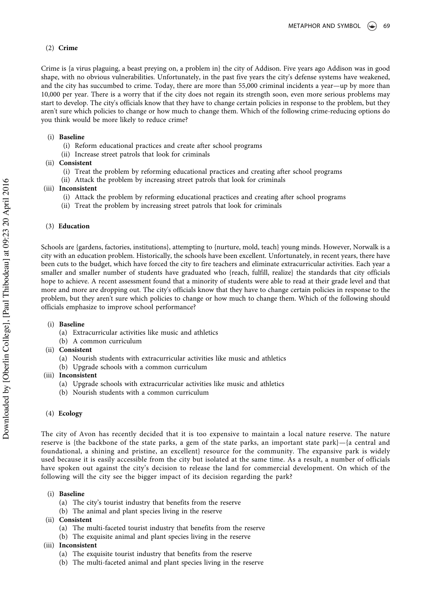#### (2) Crime

Crime is {a virus plaguing, a beast preying on, a problem in} the city of Addison. Five years ago Addison was in good shape, with no obvious vulnerabilities. Unfortunately, in the past five years the city's defense systems have weakened, and the city has succumbed to crime. Today, there are more than 55,000 criminal incidents a year—up by more than 10,000 per year. There is a worry that if the city does not regain its strength soon, even more serious problems may start to develop. The city's officials know that they have to change certain policies in response to the problem, but they aren't sure which policies to change or how much to change them. Which of the following crime-reducing options do you think would be more likely to reduce crime?

#### (i) Baseline

- (i) Reform educational practices and create after school programs
- (ii) Increase street patrols that look for criminals

#### (ii) Consistent

- (i) Treat the problem by reforming educational practices and creating after school programs
- (ii) Attack the problem by increasing street patrols that look for criminals

#### (iii) Inconsistent

- (i) Attack the problem by reforming educational practices and creating after school programs
- (ii) Treat the problem by increasing street patrols that look for criminals

#### (3) Education

Schools are {gardens, factories, institutions}, attempting to {nurture, mold, teach} young minds. However, Norwalk is a city with an education problem. Historically, the schools have been excellent. Unfortunately, in recent years, there have been cuts to the budget, which have forced the city to fire teachers and eliminate extracurricular activities. Each year a smaller and smaller number of students have graduated who {reach, fulfill, realize} the standards that city officials hope to achieve. A recent assessment found that a minority of students were able to read at their grade level and that more and more are dropping out. The city's officials know that they have to change certain policies in response to the problem, but they aren't sure which policies to change or how much to change them. Which of the following should officials emphasize to improve school performance?

#### (i) Baseline

- (a) Extracurricular activities like music and athletics
- (b) A common curriculum
- (ii) Consistent
	- (a) Nourish students with extracurricular activities like music and athletics
	- (b) Upgrade schools with a common curriculum
- (iii) Inconsistent
	- (a) Upgrade schools with extracurricular activities like music and athletics
	- (b) Nourish students with a common curriculum

#### (4) Ecology

The city of Avon has recently decided that it is too expensive to maintain a local nature reserve. The nature reserve is {the backbone of the state parks, a gem of the state parks, an important state park}—{a central and foundational, a shining and pristine, an excellent} resource for the community. The expansive park is widely used because it is easily accessible from the city but isolated at the same time. As a result, a number of officials have spoken out against the city's decision to release the land for commercial development. On which of the following will the city see the bigger impact of its decision regarding the park?

#### (i) Baseline

- (a) The city's tourist industry that benefits from the reserve
- (b) The animal and plant species living in the reserve
- (ii) Consistent
	- (a) The multi-faceted tourist industry that benefits from the reserve
	- (b) The exquisite animal and plant species living in the reserve

### (iii) Inconsistent

- (a) The exquisite tourist industry that benefits from the reserve
- (b) The multi-faceted animal and plant species living in the reserve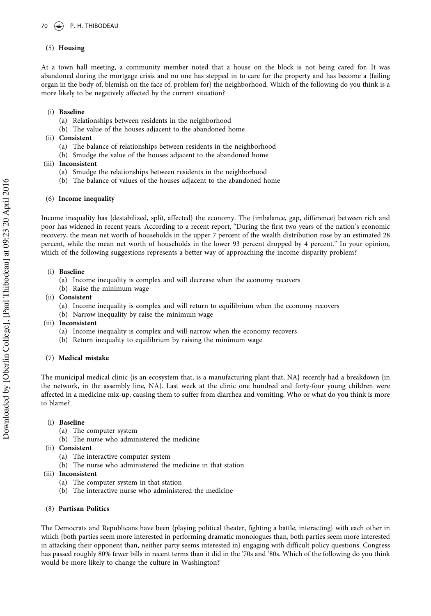# (5) Housing

At a town hall meeting, a community member noted that a house on the block is not being cared for. It was abandoned during the mortgage crisis and no one has stepped in to care for the property and has become a {failing organ in the body of, blemish on the face of, problem for} the neighborhood. Which of the following do you think is a more likely to be negatively affected by the current situation?

# (i) Baseline

- (a) Relationships between residents in the neighborhood
- (b) The value of the houses adjacent to the abandoned home
- (ii) Consistent
	- (a) The balance of relationships between residents in the neighborhood
	- (b) Smudge the value of the houses adjacent to the abandoned home

# (iii) Inconsistent

- (a) Smudge the relationships between residents in the neighborhood
- (b) The balance of values of the houses adjacent to the abandoned home

# (6) Income inequality

Income inequality has {destabilized, split, affected} the economy. The {imbalance, gap, difference} between rich and poor has widened in recent years. According to a recent report, "During the first two years of the nation's economic recovery, the mean net worth of households in the upper 7 percent of the wealth distribution rose by an estimated 28 percent, while the mean net worth of households in the lower 93 percent dropped by 4 percent." In your opinion, which of the following suggestions represents a better way of approaching the income disparity problem?

# (i) Baseline

- (a) Income inequality is complex and will decrease when the economy recovers
- (b) Raise the minimum wage
- (ii) Consistent
	- (a) Income inequality is complex and will return to equilibrium when the economy recovers
	- (b) Narrow inequality by raise the minimum wage
- (iii) Inconsistent
	- (a) Income inequality is complex and will narrow when the economy recovers
	- (b) Return inequality to equilibrium by raising the minimum wage

# (7) Medical mistake

The municipal medical clinic {is an ecosystem that, is a manufacturing plant that, NA} recently had a breakdown {in the network, in the assembly line, NA}. Last week at the clinic one hundred and forty-four young children were affected in a medicine mix-up, causing them to suffer from diarrhea and vomiting. Who or what do you think is more to blame?

# (i) Baseline

- (a) The computer system
- (b) The nurse who administered the medicine
- (ii) Consistent
	- (a) The interactive computer system
	- (b) The nurse who administered the medicine in that station
- (iii) Inconsistent
	- (a) The computer system in that station
	- (b) The interactive nurse who administered the medicine

# (8) Partisan Politics

The Democrats and Republicans have been {playing political theater, fighting a battle, interacting} with each other in which {both parties seem more interested in performing dramatic monologues than, both parties seem more interested in attacking their opponent than, neither party seems interested in} engaging with difficult policy questions. Congress has passed roughly 80% fewer bills in recent terms than it did in the '70s and '80s. Which of the following do you think would be more likely to change the culture in Washington?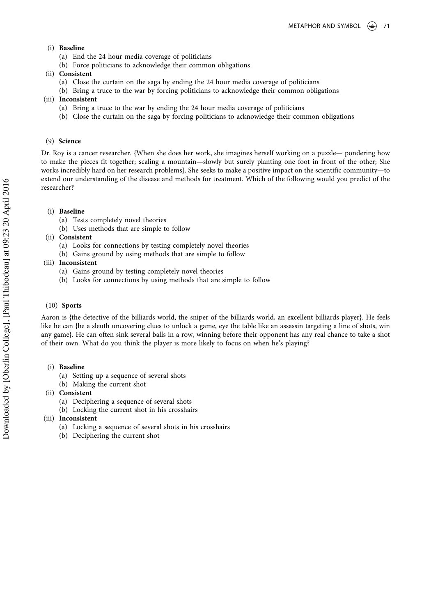### (i) Baseline

- (a) End the 24 hour media coverage of politicians
- (b) Force politicians to acknowledge their common obligations

### (ii) Consistent

- (a) Close the curtain on the saga by ending the 24 hour media coverage of politicians
- (b) Bring a truce to the war by forcing politicians to acknowledge their common obligations

#### (iii) Inconsistent

- (a) Bring a truce to the war by ending the 24 hour media coverage of politicians
- (b) Close the curtain on the saga by forcing politicians to acknowledge their common obligations

#### (9) Science

Dr. Roy is a cancer researcher. {When she does her work, she imagines herself working on a puzzle— pondering how to make the pieces fit together; scaling a mountain—slowly but surely planting one foot in front of the other; She works incredibly hard on her research problems}. She seeks to make a positive impact on the scientific community—to extend our understanding of the disease and methods for treatment. Which of the following would you predict of the researcher?

- (i) Baseline
	- (a) Tests completely novel theories
	- (b) Uses methods that are simple to follow
- (ii) Consistent
	- (a) Looks for connections by testing completely novel theories
	- (b) Gains ground by using methods that are simple to follow
- (iii) Inconsistent
	- (a) Gains ground by testing completely novel theories
	- (b) Looks for connections by using methods that are simple to follow

#### (10) Sports

Aaron is {the detective of the billiards world, the sniper of the billiards world, an excellent billiards player}. He feels like he can {be a sleuth uncovering clues to unlock a game, eye the table like an assassin targeting a line of shots, win any game}. He can often sink several balls in a row, winning before their opponent has any real chance to take a shot of their own. What do you think the player is more likely to focus on when he's playing?

- (i) Baseline
	- (a) Setting up a sequence of several shots
	- (b) Making the current shot
- (ii) Consistent
	- (a) Deciphering a sequence of several shots
	- (b) Locking the current shot in his crosshairs
- (iii) Inconsistent
	- (a) Locking a sequence of several shots in his crosshairs
	- (b) Deciphering the current shot